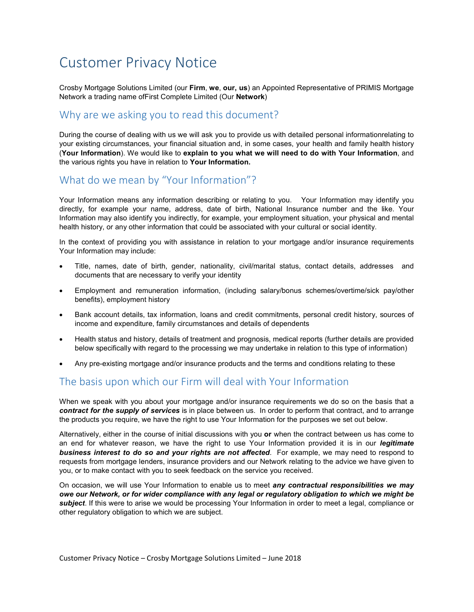# Customer Privacy Notice

Crosby Mortgage Solutions Limited (our **Firm**, **we**, **our, us**) an Appointed Representative of PRIMIS Mortgage Network a trading name ofFirst Complete Limited (Our **Network**)

#### Why are we asking you to read this document?

During the course of dealing with us we will ask you to provide us with detailed personal informationrelating to your existing circumstances, your financial situation and, in some cases, your health and family health history (**Your Information**). We would like to **explain to you what we will need to do with Your Information**, and the various rights you have in relation to **Your Information.** 

## What do we mean by "Your Information"?

Your Information means any information describing or relating to you. Your Information may identify you directly, for example your name, address, date of birth, National Insurance number and the like. Your Information may also identify you indirectly, for example, your employment situation, your physical and mental health history, or any other information that could be associated with your cultural or social identity.

In the context of providing you with assistance in relation to your mortgage and/or insurance requirements Your Information may include:

- Title, names, date of birth, gender, nationality, civil/marital status, contact details, addresses and documents that are necessary to verify your identity
- Employment and remuneration information, (including salary/bonus schemes/overtime/sick pay/other benefits), employment history
- Bank account details, tax information, loans and credit commitments, personal credit history, sources of income and expenditure, family circumstances and details of dependents
- Health status and history, details of treatment and prognosis, medical reports (further details are provided below specifically with regard to the processing we may undertake in relation to this type of information)
- Any pre-existing mortgage and/or insurance products and the terms and conditions relating to these

### The basis upon which our Firm will deal with Your Information

When we speak with you about your mortgage and/or insurance requirements we do so on the basis that a *contract for the supply of services* is in place between us. In order to perform that contract, and to arrange the products you require, we have the right to use Your Information for the purposes we set out below.

Alternatively, either in the course of initial discussions with you **or** when the contract between us has come to an end for whatever reason, we have the right to use Your Information provided it is in our *legitimate business interest to do so and your rights are not affected*. For example, we may need to respond to requests from mortgage lenders, insurance providers and our Network relating to the advice we have given to you, or to make contact with you to seek feedback on the service you received.

On occasion, we will use Your Information to enable us to meet *any contractual responsibilities we may owe our Network, or for wider compliance with any legal or regulatory obligation to which we might be subject*. If this were to arise we would be processing Your Information in order to meet a legal, compliance or other regulatory obligation to which we are subject.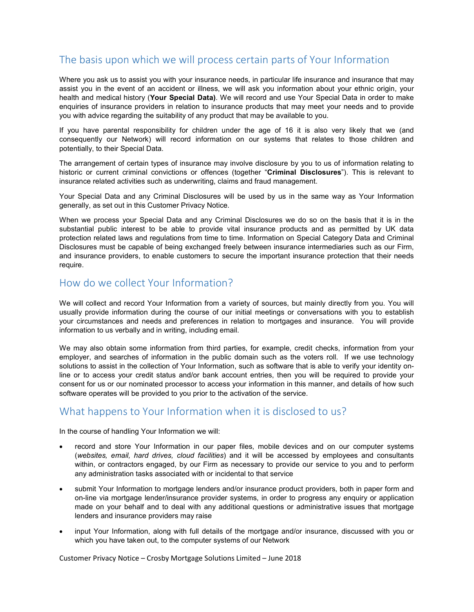# The basis upon which we will process certain parts of Your Information

Where you ask us to assist you with your insurance needs, in particular life insurance and insurance that may assist you in the event of an accident or illness, we will ask you information about your ethnic origin, your health and medical history (**Your Special Data)**. We will record and use Your Special Data in order to make enquiries of insurance providers in relation to insurance products that may meet your needs and to provide you with advice regarding the suitability of any product that may be available to you.

If you have parental responsibility for children under the age of 16 it is also very likely that we (and consequently our Network) will record information on our systems that relates to those children and potentially, to their Special Data.

The arrangement of certain types of insurance may involve disclosure by you to us of information relating to historic or current criminal convictions or offences (together "**Criminal Disclosures**"). This is relevant to insurance related activities such as underwriting, claims and fraud management.

Your Special Data and any Criminal Disclosures will be used by us in the same way as Your Information generally, as set out in this Customer Privacy Notice.

When we process your Special Data and any Criminal Disclosures we do so on the basis that it is in the substantial public interest to be able to provide vital insurance products and as permitted by UK data protection related laws and regulations from time to time. Information on Special Category Data and Criminal Disclosures must be capable of being exchanged freely between insurance intermediaries such as our Firm, and insurance providers, to enable customers to secure the important insurance protection that their needs require.

#### How do we collect Your Information?

We will collect and record Your Information from a variety of sources, but mainly directly from you. You will usually provide information during the course of our initial meetings or conversations with you to establish your circumstances and needs and preferences in relation to mortgages and insurance. You will provide information to us verbally and in writing, including email.

We may also obtain some information from third parties, for example, credit checks, information from your employer, and searches of information in the public domain such as the voters roll. If we use technology solutions to assist in the collection of Your Information, such as software that is able to verify your identity online or to access your credit status and/or bank account entries, then you will be required to provide your consent for us or our nominated processor to access your information in this manner, and details of how such software operates will be provided to you prior to the activation of the service.

# What happens to Your Information when it is disclosed to us?

In the course of handling Your Information we will:

- record and store Your Information in our paper files, mobile devices and on our computer systems (*websites, email, hard drives, cloud facilities*) and it will be accessed by employees and consultants within, or contractors engaged, by our Firm as necessary to provide our service to you and to perform any administration tasks associated with or incidental to that service
- submit Your Information to mortgage lenders and/or insurance product providers, both in paper form and on-line via mortgage lender/insurance provider systems, in order to progress any enquiry or application made on your behalf and to deal with any additional questions or administrative issues that mortgage lenders and insurance providers may raise
- input Your Information, along with full details of the mortgage and/or insurance, discussed with you or which you have taken out, to the computer systems of our Network

Customer Privacy Notice – Crosby Mortgage Solutions Limited – June 2018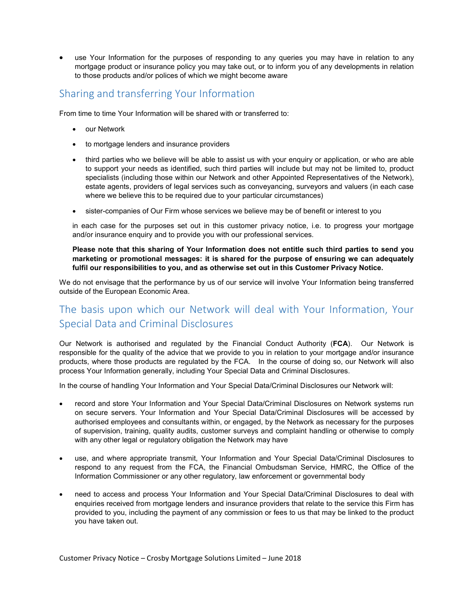use Your Information for the purposes of responding to any queries you may have in relation to any mortgage product or insurance policy you may take out, or to inform you of any developments in relation to those products and/or polices of which we might become aware

# Sharing and transferring Your Information

From time to time Your Information will be shared with or transferred to:

- our Network
- to mortgage lenders and insurance providers
- third parties who we believe will be able to assist us with your enquiry or application, or who are able to support your needs as identified, such third parties will include but may not be limited to, product specialists (including those within our Network and other Appointed Representatives of the Network), estate agents, providers of legal services such as conveyancing, surveyors and valuers (in each case where we believe this to be required due to your particular circumstances)
- sister-companies of Our Firm whose services we believe may be of benefit or interest to you

in each case for the purposes set out in this customer privacy notice, i.e. to progress your mortgage and/or insurance enquiry and to provide you with our professional services.

**Please note that this sharing of Your Information does not entitle such third parties to send you marketing or promotional messages: it is shared for the purpose of ensuring we can adequately fulfil our responsibilities to you, and as otherwise set out in this Customer Privacy Notice.** 

We do not envisage that the performance by us of our service will involve Your Information being transferred outside of the European Economic Area.

# The basis upon which our Network will deal with Your Information, Your Special Data and Criminal Disclosures

Our Network is authorised and regulated by the Financial Conduct Authority (**FCA**). Our Network is responsible for the quality of the advice that we provide to you in relation to your mortgage and/or insurance products, where those products are regulated by the FCA. In the course of doing so, our Network will also process Your Information generally, including Your Special Data and Criminal Disclosures.

In the course of handling Your Information and Your Special Data/Criminal Disclosures our Network will:

- record and store Your Information and Your Special Data/Criminal Disclosures on Network systems run on secure servers. Your Information and Your Special Data/Criminal Disclosures will be accessed by authorised employees and consultants within, or engaged, by the Network as necessary for the purposes of supervision, training, quality audits, customer surveys and complaint handling or otherwise to comply with any other legal or regulatory obligation the Network may have
- use, and where appropriate transmit, Your Information and Your Special Data/Criminal Disclosures to respond to any request from the FCA, the Financial Ombudsman Service, HMRC, the Office of the Information Commissioner or any other regulatory, law enforcement or governmental body
- need to access and process Your Information and Your Special Data/Criminal Disclosures to deal with enquiries received from mortgage lenders and insurance providers that relate to the service this Firm has provided to you, including the payment of any commission or fees to us that may be linked to the product you have taken out.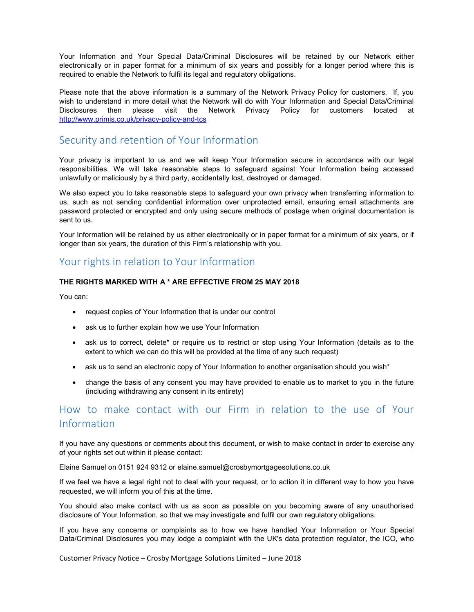Your Information and Your Special Data/Criminal Disclosures will be retained by our Network either electronically or in paper format for a minimum of six years and possibly for a longer period where this is required to enable the Network to fulfil its legal and regulatory obligations.

Please note that the above information is a summary of the Network Privacy Policy for customers. If, you wish to understand in more detail what the Network will do with Your Information and Special Data/Criminal Disclosures then please visit the Network Privacy Policy for customers located at http://www.primis.co.uk/privacy-policy-and-tcs

## Security and retention of Your Information

Your privacy is important to us and we will keep Your Information secure in accordance with our legal responsibilities. We will take reasonable steps to safeguard against Your Information being accessed unlawfully or maliciously by a third party, accidentally lost, destroyed or damaged.

We also expect you to take reasonable steps to safeguard your own privacy when transferring information to us, such as not sending confidential information over unprotected email, ensuring email attachments are password protected or encrypted and only using secure methods of postage when original documentation is sent to us.

Your Information will be retained by us either electronically or in paper format for a minimum of six years, or if longer than six years, the duration of this Firm's relationship with you.

### Your rights in relation to Your Information

#### **THE RIGHTS MARKED WITH A \* ARE EFFECTIVE FROM 25 MAY 2018**

You can:

- request copies of Your Information that is under our control
- ask us to further explain how we use Your Information
- ask us to correct, delete<sup>\*</sup> or require us to restrict or stop using Your Information (details as to the extent to which we can do this will be provided at the time of any such request)
- ask us to send an electronic copy of Your Information to another organisation should you wish\*
- change the basis of any consent you may have provided to enable us to market to you in the future (including withdrawing any consent in its entirety)

# How to make contact with our Firm in relation to the use of Your Information

If you have any questions or comments about this document, or wish to make contact in order to exercise any of your rights set out within it please contact:

Elaine Samuel on 0151 924 9312 or elaine.samuel@crosbymortgagesolutions.co.uk

If we feel we have a legal right not to deal with your request, or to action it in different way to how you have requested, we will inform you of this at the time.

You should also make contact with us as soon as possible on you becoming aware of any unauthorised disclosure of Your Information, so that we may investigate and fulfil our own regulatory obligations.

If you have any concerns or complaints as to how we have handled Your Information or Your Special Data/Criminal Disclosures you may lodge a complaint with the UK's data protection regulator, the ICO, who

Customer Privacy Notice – Crosby Mortgage Solutions Limited – June 2018